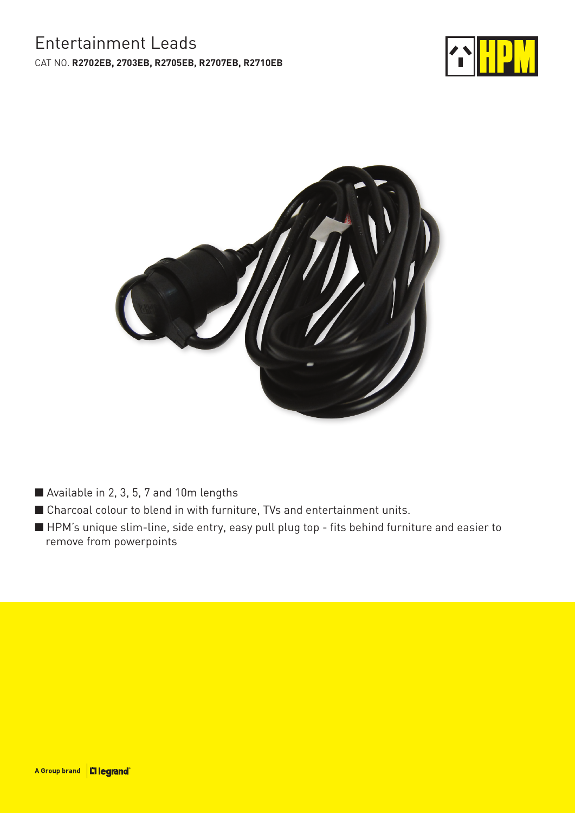## Entertainment Leads CAT NO. **R2702EB, 2703EB, R2705EB, R2707EB, R2710EB**





- Available in 2, 3, 5, 7 and 10m lengths
- Charcoal colour to blend in with furniture, TVs and entertainment units.
- HPM's unique slim-line, side entry, easy pull plug top fits behind furniture and easier to remove from powerpoints